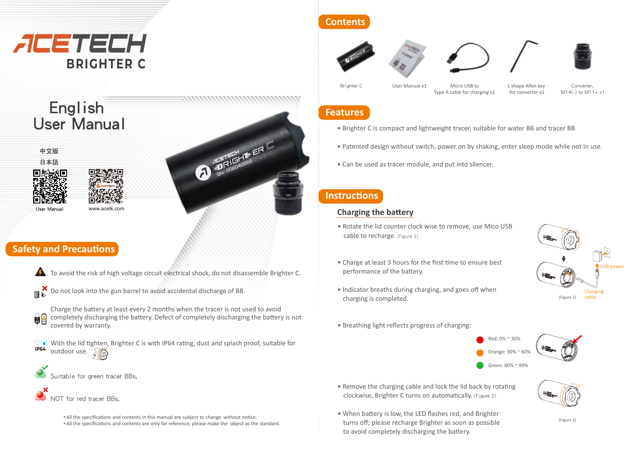

# **Contents**









User Manual x1 Micro USB to

Brighter C User Manual x1 Micro USB to L shape Allen key Converter, Type A cable for charging x1 for converter x1

 $M14(-)$  to  $M11+ x1$ 

# **Features**

- Brighter C is compact and lightweight tracer, suitable for water BB and tracer BB
- Patented design without switch, power on by shaking, enter sleep mode while not in use.
- Can be used as tracer module, and put into silencer.

## **Instructions**

#### **Charging the battery**

- Rotate the lid counter clock wise to remove, use Mico USB cable to recharge. (Figure 1)
- Charge at least 3 hours for the first time to ensure best performance of the battery.



- Indicator breaths during charging, and goes off when charging is completed.
- Breathing light reflects progress of charging:
	- Red: 0% ~ 30% Orange: 30% ~ 60% Green: 80% ~ 99%
		-
		-
- When battery is low, the LED flashes red, and Brighter turns off; please recharge Brighter as soon as possible to avoid completely discharging the battery.

• Remove the charging cable and lock the lid back by rotating clockwise, Brighter C turns on automa�cally. (Figure 2)

# English User Manual

中文版 日本語



User Manual www.acetk.com

# **Safety and Precautions**



To avoid the risk of high voltage circuit electrical shock, do not disassemble Brighter C.

SN: 00040005 ER



**2 M**

- $\mathbf{B}$  Do not look into the gun barrel to avoid accidental discharge of BB.
	- Charge the battery at least every 2 months when the tracer is not used to avoid completely discharging the battery. Defect of completely discharging the battery is not covered by warranty.
- **IP64**  $\mathbb{W}^*$  With the lid tighten, Brighter C is with IP64 rating, dust and splash proof, suitable for outdoor use.  $\sqrt{\omega}$
- Suitable for green tracer BBs.
- OT for red tracer BBs.
	- \*All the specifications and contents in this manual are subject to change without notice. \*All the specifications and contents are only for reference, please make the object as the standard.
- -